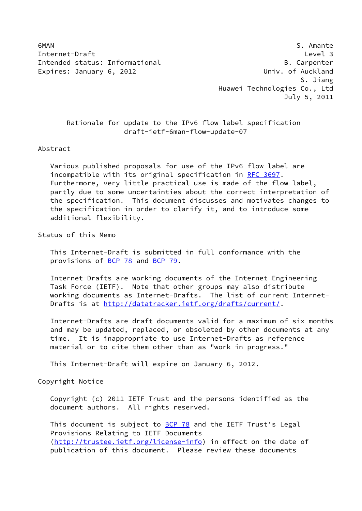6MAN S. Amante Internet-Draft Level 3 Intended status: Informational B. Carpenter Expires: January 6, 2012 **Expires: January 6, 2012** 

 S. Jiang Huawei Technologies Co., Ltd July 5, 2011

 Rationale for update to the IPv6 flow label specification draft-ietf-6man-flow-update-07

## Abstract

 Various published proposals for use of the IPv6 flow label are incompatible with its original specification in [RFC 3697](https://datatracker.ietf.org/doc/pdf/rfc3697). Furthermore, very little practical use is made of the flow label, partly due to some uncertainties about the correct interpretation of the specification. This document discusses and motivates changes to the specification in order to clarify it, and to introduce some additional flexibility.

Status of this Memo

 This Internet-Draft is submitted in full conformance with the provisions of [BCP 78](https://datatracker.ietf.org/doc/pdf/bcp78) and [BCP 79](https://datatracker.ietf.org/doc/pdf/bcp79).

 Internet-Drafts are working documents of the Internet Engineering Task Force (IETF). Note that other groups may also distribute working documents as Internet-Drafts. The list of current Internet- Drafts is at<http://datatracker.ietf.org/drafts/current/>.

 Internet-Drafts are draft documents valid for a maximum of six months and may be updated, replaced, or obsoleted by other documents at any time. It is inappropriate to use Internet-Drafts as reference material or to cite them other than as "work in progress."

This Internet-Draft will expire on January 6, 2012.

Copyright Notice

 Copyright (c) 2011 IETF Trust and the persons identified as the document authors. All rights reserved.

This document is subject to **[BCP 78](https://datatracker.ietf.org/doc/pdf/bcp78)** and the IETF Trust's Legal Provisions Relating to IETF Documents [\(http://trustee.ietf.org/license-info](http://trustee.ietf.org/license-info)) in effect on the date of publication of this document. Please review these documents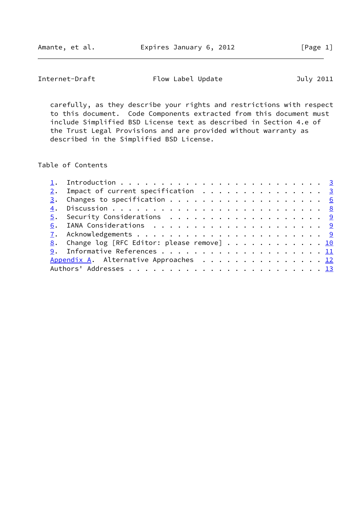Internet-Draft Flow Label Update July 2011

 carefully, as they describe your rights and restrictions with respect to this document. Code Components extracted from this document must include Simplified BSD License text as described in Section 4.e of the Trust Legal Provisions and are provided without warranty as described in the Simplified BSD License.

Table of Contents

|  | $2.$ Impact of current specification 3       |  |
|--|----------------------------------------------|--|
|  |                                              |  |
|  |                                              |  |
|  | 5. Security Considerations 9                 |  |
|  |                                              |  |
|  |                                              |  |
|  | 8. Change log [RFC Editor: please remove] 10 |  |
|  |                                              |  |
|  | Appendix A. Alternative Approaches 12        |  |
|  |                                              |  |
|  |                                              |  |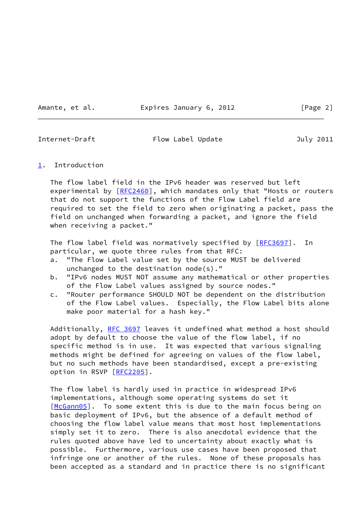Amante, et al. **Expires January 6, 2012** [Page 2]

<span id="page-2-1"></span>

Internet-Draft Flow Label Update July 2011

## <span id="page-2-0"></span>[1](#page-2-0). Introduction

 The flow label field in the IPv6 header was reserved but left experimental by [\[RFC2460](https://datatracker.ietf.org/doc/pdf/rfc2460)], which mandates only that "Hosts or routers that do not support the functions of the Flow Label field are required to set the field to zero when originating a packet, pass the field on unchanged when forwarding a packet, and ignore the field when receiving a packet."

The flow label field was normatively specified by [[RFC3697](https://datatracker.ietf.org/doc/pdf/rfc3697)]. In particular, we quote three rules from that RFC:

- a. "The Flow Label value set by the source MUST be delivered unchanged to the destination node(s)."
- b. "IPv6 nodes MUST NOT assume any mathematical or other properties of the Flow Label values assigned by source nodes."
- c. "Router performance SHOULD NOT be dependent on the distribution of the Flow Label values. Especially, the Flow Label bits alone make poor material for a hash key."

Additionally, [RFC 3697](https://datatracker.ietf.org/doc/pdf/rfc3697) leaves it undefined what method a host should adopt by default to choose the value of the flow label, if no specific method is in use. It was expected that various signaling methods might be defined for agreeing on values of the flow label, but no such methods have been standardised, except a pre-existing option in RSVP [\[RFC2205](https://datatracker.ietf.org/doc/pdf/rfc2205)].

 The flow label is hardly used in practice in widespread IPv6 implementations, although some operating systems do set it [\[McGann05](#page-11-2)]. To some extent this is due to the main focus being on basic deployment of IPv6, but the absence of a default method of choosing the flow label value means that most host implementations simply set it to zero. There is also anecdotal evidence that the rules quoted above have led to uncertainty about exactly what is possible. Furthermore, various use cases have been proposed that infringe one or another of the rules. None of these proposals has been accepted as a standard and in practice there is no significant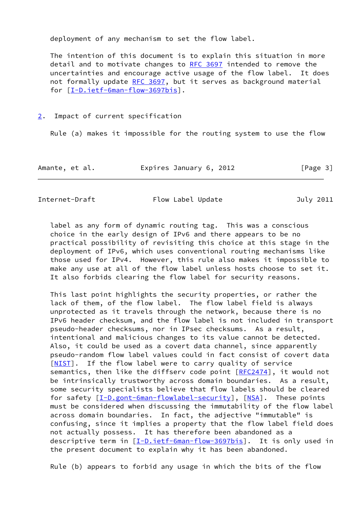deployment of any mechanism to set the flow label.

 The intention of this document is to explain this situation in more detail and to motivate changes to [RFC 3697](https://datatracker.ietf.org/doc/pdf/rfc3697) intended to remove the uncertainties and encourage active usage of the flow label. It does not formally update [RFC 3697,](https://datatracker.ietf.org/doc/pdf/rfc3697) but it serves as background material for [\[I-D.ietf-6man-flow-3697bis\]](#page-11-3).

## <span id="page-3-0"></span>[2](#page-3-0). Impact of current specification

Rule (a) makes it impossible for the routing system to use the flow

| Amante, et al. | Expires January 6, 2012 | [Page 3] |
|----------------|-------------------------|----------|
|----------------|-------------------------|----------|

Internet-Draft Flow Label Update July 2011

 label as any form of dynamic routing tag. This was a conscious choice in the early design of IPv6 and there appears to be no practical possibility of revisiting this choice at this stage in the deployment of IPv6, which uses conventional routing mechanisms like those used for IPv4. However, this rule also makes it impossible to make any use at all of the flow label unless hosts choose to set it. It also forbids clearing the flow label for security reasons.

 This last point highlights the security properties, or rather the lack of them, of the flow label. The flow label field is always unprotected as it travels through the network, because there is no IPv6 header checksum, and the flow label is not included in transport pseudo-header checksums, nor in IPsec checksums. As a result, intentional and malicious changes to its value cannot be detected. Also, it could be used as a covert data channel, since apparently pseudo-random flow label values could in fact consist of covert data [\[NIST](#page-12-1)]. If the flow label were to carry quality of service semantics, then like the diffserv code point [\[RFC2474](https://datatracker.ietf.org/doc/pdf/rfc2474)], it would not be intrinsically trustworthy across domain boundaries. As a result, some security specialists believe that flow labels should be cleared for safety [[I-D.gont-6man-flowlabel-security\]](#page-11-4), [\[NSA](#page-12-2)]. These points must be considered when discussing the immutability of the flow label across domain boundaries. In fact, the adjective "immutable" is confusing, since it implies a property that the flow label field does not actually possess. It has therefore been abandoned as a descriptive term in [\[I-D.ietf-6man-flow-3697bis\]](#page-11-3). It is only used in the present document to explain why it has been abandoned.

Rule (b) appears to forbid any usage in which the bits of the flow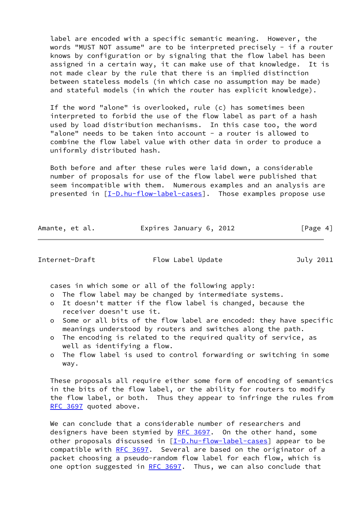label are encoded with a specific semantic meaning. However, the words "MUST NOT assume" are to be interpreted precisely - if a router knows by configuration or by signaling that the flow label has been assigned in a certain way, it can make use of that knowledge. It is not made clear by the rule that there is an implied distinction between stateless models (in which case no assumption may be made) and stateful models (in which the router has explicit knowledge).

 If the word "alone" is overlooked, rule (c) has sometimes been interpreted to forbid the use of the flow label as part of a hash used by load distribution mechanisms. In this case too, the word "alone" needs to be taken into account - a router is allowed to combine the flow label value with other data in order to produce a uniformly distributed hash.

 Both before and after these rules were laid down, a considerable number of proposals for use of the flow label were published that seem incompatible with them. Numerous examples and an analysis are presented in [\[I-D.hu-flow-label-cases](#page-11-5)]. Those examples propose use

| Amante, et al. | Expires January 6, 2012 | [Page 4] |
|----------------|-------------------------|----------|
|                |                         |          |

Internet-Draft Flow Label Update July 2011

cases in which some or all of the following apply:

- o The flow label may be changed by intermediate systems.
- o It doesn't matter if the flow label is changed, because the receiver doesn't use it.
- o Some or all bits of the flow label are encoded: they have specific meanings understood by routers and switches along the path.
- o The encoding is related to the required quality of service, as well as identifying a flow.
- o The flow label is used to control forwarding or switching in some way.

 These proposals all require either some form of encoding of semantics in the bits of the flow label, or the ability for routers to modify the flow label, or both. Thus they appear to infringe the rules from [RFC 3697](https://datatracker.ietf.org/doc/pdf/rfc3697) quoted above.

We can conclude that a considerable number of researchers and designers have been stymied by [RFC 3697.](https://datatracker.ietf.org/doc/pdf/rfc3697) On the other hand, some other proposals discussed in  $[I-D.hu-flow-label-cases]$  $[I-D.hu-flow-label-cases]$  appear to be compatible with [RFC 3697](https://datatracker.ietf.org/doc/pdf/rfc3697). Several are based on the originator of a packet choosing a pseudo-random flow label for each flow, which is one option suggested in [RFC 3697](https://datatracker.ietf.org/doc/pdf/rfc3697). Thus, we can also conclude that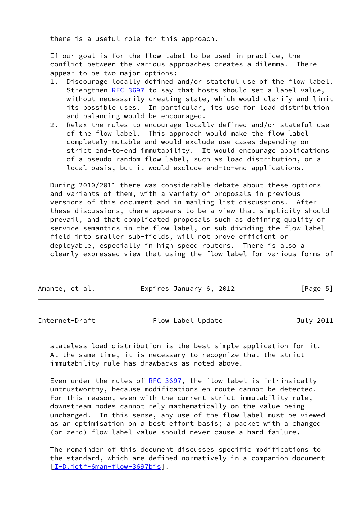there is a useful role for this approach.

 If our goal is for the flow label to be used in practice, the conflict between the various approaches creates a dilemma. There appear to be two major options:

- 1. Discourage locally defined and/or stateful use of the flow label. Strengthen [RFC 3697](https://datatracker.ietf.org/doc/pdf/rfc3697) to say that hosts should set a label value, without necessarily creating state, which would clarify and limit its possible uses. In particular, its use for load distribution and balancing would be encouraged.
- 2. Relax the rules to encourage locally defined and/or stateful use of the flow label. This approach would make the flow label completely mutable and would exclude use cases depending on strict end-to-end immutability. It would encourage applications of a pseudo-random flow label, such as load distribution, on a local basis, but it would exclude end-to-end applications.

 During 2010/2011 there was considerable debate about these options and variants of them, with a variety of proposals in previous versions of this document and in mailing list discussions. After these discussions, there appears to be a view that simplicity should prevail, and that complicated proposals such as defining quality of service semantics in the flow label, or sub-dividing the flow label field into smaller sub-fields, will not prove efficient or deployable, especially in high speed routers. There is also a clearly expressed view that using the flow label for various forms of

| Amante, et al. | Expires January 6, 2012 | [Page 5] |
|----------------|-------------------------|----------|
|                |                         |          |

<span id="page-5-0"></span>Internet-Draft Flow Label Update 70 July 2011

 stateless load distribution is the best simple application for it. At the same time, it is necessary to recognize that the strict immutability rule has drawbacks as noted above.

Even under the rules of [RFC 3697](https://datatracker.ietf.org/doc/pdf/rfc3697), the flow label is intrinsically untrustworthy, because modifications en route cannot be detected. For this reason, even with the current strict immutability rule, downstream nodes cannot rely mathematically on the value being unchanged. In this sense, any use of the flow label must be viewed as an optimisation on a best effort basis; a packet with a changed (or zero) flow label value should never cause a hard failure.

 The remainder of this document discusses specific modifications to the standard, which are defined normatively in a companion document [\[I-D.ietf-6man-flow-3697bis\]](#page-11-3).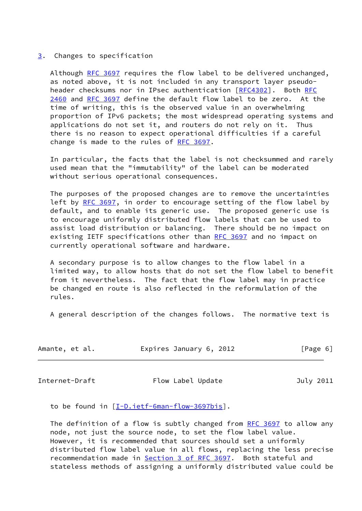### <span id="page-6-0"></span>[3](#page-6-0). Changes to specification

 Although [RFC 3697](https://datatracker.ietf.org/doc/pdf/rfc3697) requires the flow label to be delivered unchanged, as noted above, it is not included in any transport layer pseudo header checksums nor in IPsec authentication [\[RFC4302](https://datatracker.ietf.org/doc/pdf/rfc4302)]. Both [RFC](https://datatracker.ietf.org/doc/pdf/rfc2460) [2460](https://datatracker.ietf.org/doc/pdf/rfc2460) and [RFC 3697](https://datatracker.ietf.org/doc/pdf/rfc3697) define the default flow label to be zero. At the time of writing, this is the observed value in an overwhelming proportion of IPv6 packets; the most widespread operating systems and applications do not set it, and routers do not rely on it. Thus there is no reason to expect operational difficulties if a careful change is made to the rules of [RFC 3697.](https://datatracker.ietf.org/doc/pdf/rfc3697)

 In particular, the facts that the label is not checksummed and rarely used mean that the "immutability" of the label can be moderated without serious operational consequences.

 The purposes of the proposed changes are to remove the uncertainties left by [RFC 3697](https://datatracker.ietf.org/doc/pdf/rfc3697), in order to encourage setting of the flow label by default, and to enable its generic use. The proposed generic use is to encourage uniformly distributed flow labels that can be used to assist load distribution or balancing. There should be no impact on existing IETF specifications other than [RFC 3697](https://datatracker.ietf.org/doc/pdf/rfc3697) and no impact on currently operational software and hardware.

 A secondary purpose is to allow changes to the flow label in a limited way, to allow hosts that do not set the flow label to benefit from it nevertheless. The fact that the flow label may in practice be changed en route is also reflected in the reformulation of the rules.

A general description of the changes follows. The normative text is

| Amante, et al. | Expires January 6, 2012 | [Page 6] |
|----------------|-------------------------|----------|
|----------------|-------------------------|----------|

Internet-Draft Flow Label Update July 2011

to be found in [\[I-D.ietf-6man-flow-3697bis](#page-11-3)].

 The definition of a flow is subtly changed from [RFC 3697](https://datatracker.ietf.org/doc/pdf/rfc3697) to allow any node, not just the source node, to set the flow label value. However, it is recommended that sources should set a uniformly distributed flow label value in all flows, replacing the less precise recommendation made in Section [3 of RFC 3697.](https://datatracker.ietf.org/doc/pdf/rfc3697#section-3) Both stateful and stateless methods of assigning a uniformly distributed value could be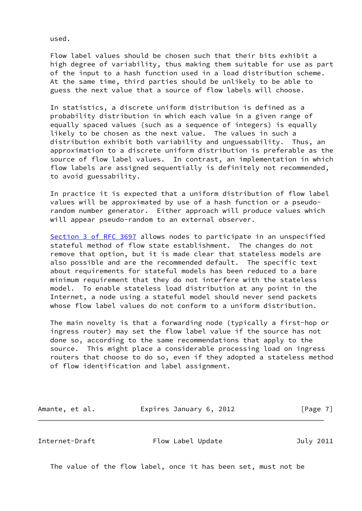used.

 Flow label values should be chosen such that their bits exhibit a high degree of variability, thus making them suitable for use as part of the input to a hash function used in a load distribution scheme. At the same time, third parties should be unlikely to be able to guess the next value that a source of flow labels will choose.

 In statistics, a discrete uniform distribution is defined as a probability distribution in which each value in a given range of equally spaced values (such as a sequence of integers) is equally likely to be chosen as the next value. The values in such a distribution exhibit both variability and unguessability. Thus, an approximation to a discrete uniform distribution is preferable as the source of flow label values. In contrast, an implementation in which flow labels are assigned sequentially is definitely not recommended, to avoid guessability.

 In practice it is expected that a uniform distribution of flow label values will be approximated by use of a hash function or a pseudo random number generator. Either approach will produce values which will appear pseudo-random to an external observer.

 Section [3 of RFC 3697](https://datatracker.ietf.org/doc/pdf/rfc3697#section-3) allows nodes to participate in an unspecified stateful method of flow state establishment. The changes do not remove that option, but it is made clear that stateless models are also possible and are the recommended default. The specific text about requirements for stateful models has been reduced to a bare minimum requirement that they do not interfere with the stateless model. To enable stateless load distribution at any point in the Internet, a node using a stateful model should never send packets whose flow label values do not conform to a uniform distribution.

 The main novelty is that a forwarding node (typically a first-hop or ingress router) may set the flow label value if the source has not done so, according to the same recommendations that apply to the source. This might place a considerable processing load on ingress routers that choose to do so, even if they adopted a stateless method of flow identification and label assignment.

Amante, et al. **Expires January 6, 2012** [Page 7]

<span id="page-7-0"></span>Internet-Draft Flow Label Update July 2011

The value of the flow label, once it has been set, must not be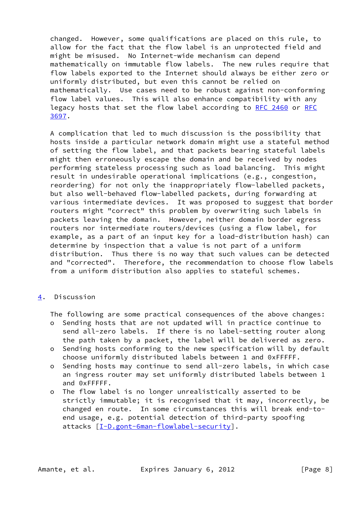changed. However, some qualifications are placed on this rule, to allow for the fact that the flow label is an unprotected field and might be misused. No Internet-wide mechanism can depend mathematically on immutable flow labels. The new rules require that flow labels exported to the Internet should always be either zero or uniformly distributed, but even this cannot be relied on mathematically. Use cases need to be robust against non-conforming flow label values. This will also enhance compatibility with any legacy hosts that set the flow label according to [RFC 2460](https://datatracker.ietf.org/doc/pdf/rfc2460) or [RFC](https://datatracker.ietf.org/doc/pdf/rfc3697) [3697](https://datatracker.ietf.org/doc/pdf/rfc3697).

 A complication that led to much discussion is the possibility that hosts inside a particular network domain might use a stateful method of setting the flow label, and that packets bearing stateful labels might then erroneously escape the domain and be received by nodes performing stateless processing such as load balancing. This might result in undesirable operational implications (e.g., congestion, reordering) for not only the inappropriately flow-labelled packets, but also well-behaved flow-labelled packets, during forwarding at various intermediate devices. It was proposed to suggest that border routers might "correct" this problem by overwriting such labels in packets leaving the domain. However, neither domain border egress routers nor intermediate routers/devices (using a flow label, for example, as a part of an input key for a load-distribution hash) can determine by inspection that a value is not part of a uniform distribution. Thus there is no way that such values can be detected and "corrected". Therefore, the recommendation to choose flow labels from a uniform distribution also applies to stateful schemes.

# <span id="page-8-0"></span>[4](#page-8-0). Discussion

The following are some practical consequences of the above changes:

- o Sending hosts that are not updated will in practice continue to send all-zero labels. If there is no label-setting router along the path taken by a packet, the label will be delivered as zero.
- o Sending hosts conforming to the new specification will by default choose uniformly distributed labels between 1 and 0xFFFFF.
- o Sending hosts may continue to send all-zero labels, in which case an ingress router may set uniformly distributed labels between 1 and 0xFFFFF.
- o The flow label is no longer unrealistically asserted to be strictly immutable; it is recognised that it may, incorrectly, be changed en route. In some circumstances this will break end-to end usage, e.g. potential detection of third-party spoofing attacks  $[I-D.gont-Gman-flowlabel-security]$ .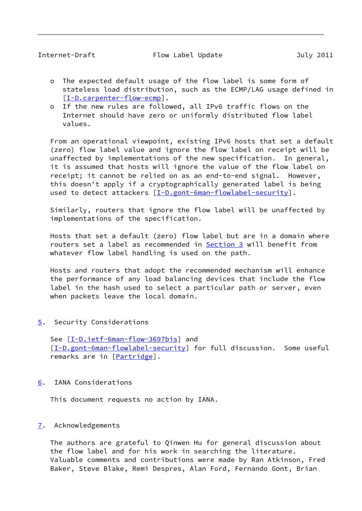- <span id="page-9-1"></span> o The expected default usage of the flow label is some form of stateless load distribution, such as the ECMP/LAG usage defined in [[I-D.carpenter-flow-ecmp\]](#page-11-6).
- o If the new rules are followed, all IPv6 traffic flows on the Internet should have zero or uniformly distributed flow label values.

 From an operational viewpoint, existing IPv6 hosts that set a default (zero) flow label value and ignore the flow label on receipt will be unaffected by implementations of the new specification. In general, it is assumed that hosts will ignore the value of the flow label on receipt; it cannot be relied on as an end-to-end signal. However, this doesn't apply if a cryptographically generated label is being used to detect attackers [\[I-D.gont-6man-flowlabel-security](#page-11-4)].

 Similarly, routers that ignore the flow label will be unaffected by implementations of the specification.

Hosts that set a default (zero) flow label but are in a domain where routers set a label as recommended in **Section 3** will benefit from whatever flow label handling is used on the path.

 Hosts and routers that adopt the recommended mechanism will enhance the performance of any load balancing devices that include the flow label in the hash used to select a particular path or server, even when packets leave the local domain.

<span id="page-9-0"></span>[5](#page-9-0). Security Considerations

See  $[I-D.iett-Gman-flow-3697bis]$  and [\[I-D.gont-6man-flowlabel-security](#page-11-4)] for full discussion. Some useful remarks are in [\[Partridge](#page-12-3)].

<span id="page-9-2"></span>[6](#page-9-2). IANA Considerations

This document requests no action by IANA.

# <span id="page-9-3"></span>[7](#page-9-3). Acknowledgements

 The authors are grateful to Qinwen Hu for general discussion about the flow label and for his work in searching the literature. Valuable comments and contributions were made by Ran Atkinson, Fred Baker, Steve Blake, Remi Despres, Alan Ford, Fernando Gont, Brian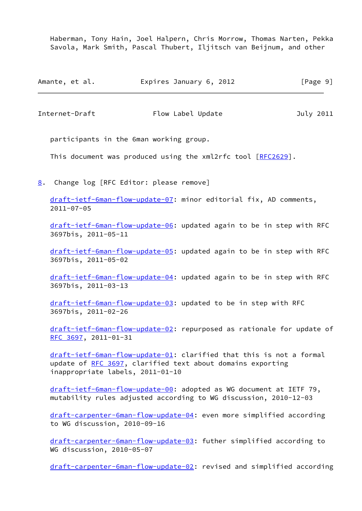Haberman, Tony Hain, Joel Halpern, Chris Morrow, Thomas Narten, Pekka Savola, Mark Smith, Pascal Thubert, Iljitsch van Beijnum, and other

| Amante, et al. | Expires January 6, 2012 |  | [Page 9] |
|----------------|-------------------------|--|----------|
|----------------|-------------------------|--|----------|

<span id="page-10-1"></span>Internet-Draft Flow Label Update July 2011

participants in the 6man working group.

This document was produced using the xml2rfc tool [[RFC2629](https://datatracker.ietf.org/doc/pdf/rfc2629)].

<span id="page-10-0"></span>[8](#page-10-0). Change log [RFC Editor: please remove]

 [draft-ietf-6man-flow-update-07](https://datatracker.ietf.org/doc/pdf/draft-ietf-6man-flow-update-07): minor editorial fix, AD comments, 2011-07-05

 [draft-ietf-6man-flow-update-06](https://datatracker.ietf.org/doc/pdf/draft-ietf-6man-flow-update-06): updated again to be in step with RFC 3697bis, 2011-05-11

 [draft-ietf-6man-flow-update-05](https://datatracker.ietf.org/doc/pdf/draft-ietf-6man-flow-update-05): updated again to be in step with RFC 3697bis, 2011-05-02

 [draft-ietf-6man-flow-update-04](https://datatracker.ietf.org/doc/pdf/draft-ietf-6man-flow-update-04): updated again to be in step with RFC 3697bis, 2011-03-13

 [draft-ietf-6man-flow-update-03](https://datatracker.ietf.org/doc/pdf/draft-ietf-6man-flow-update-03): updated to be in step with RFC 3697bis, 2011-02-26

 [draft-ietf-6man-flow-update-02](https://datatracker.ietf.org/doc/pdf/draft-ietf-6man-flow-update-02): repurposed as rationale for update of [RFC 3697](https://datatracker.ietf.org/doc/pdf/rfc3697), 2011-01-31

 [draft-ietf-6man-flow-update-01](https://datatracker.ietf.org/doc/pdf/draft-ietf-6man-flow-update-01): clarified that this is not a formal update of [RFC 3697](https://datatracker.ietf.org/doc/pdf/rfc3697), clarified text about domains exporting inappropriate labels, 2011-01-10

 [draft-ietf-6man-flow-update-00](https://datatracker.ietf.org/doc/pdf/draft-ietf-6man-flow-update-00): adopted as WG document at IETF 79, mutability rules adjusted according to WG discussion, 2010-12-03

 [draft-carpenter-6man-flow-update-04](https://datatracker.ietf.org/doc/pdf/draft-carpenter-6man-flow-update-04): even more simplified according to WG discussion, 2010-09-16

 [draft-carpenter-6man-flow-update-03](https://datatracker.ietf.org/doc/pdf/draft-carpenter-6man-flow-update-03): futher simplified according to WG discussion, 2010-05-07

[draft-carpenter-6man-flow-update-02](https://datatracker.ietf.org/doc/pdf/draft-carpenter-6man-flow-update-02): revised and simplified according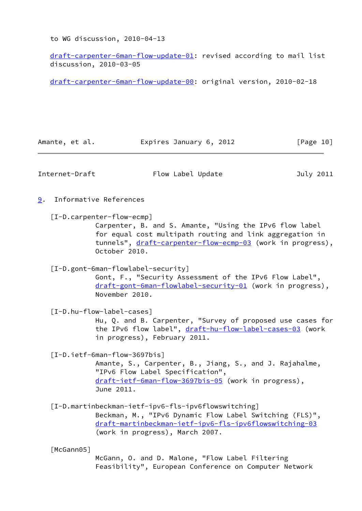to WG discussion, 2010-04-13

 [draft-carpenter-6man-flow-update-01](https://datatracker.ietf.org/doc/pdf/draft-carpenter-6man-flow-update-01): revised according to mail list discussion, 2010-03-05

[draft-carpenter-6man-flow-update-00](https://datatracker.ietf.org/doc/pdf/draft-carpenter-6man-flow-update-00): original version, 2010-02-18

<span id="page-11-6"></span><span id="page-11-4"></span><span id="page-11-1"></span><span id="page-11-0"></span>

| Amante, et al. | Expires January 6, 2012                                                                                                                                                                                                         | [Page 10] |
|----------------|---------------------------------------------------------------------------------------------------------------------------------------------------------------------------------------------------------------------------------|-----------|
| Internet-Draft | Flow Label Update                                                                                                                                                                                                               | July 2011 |
| 9.             | Informative References                                                                                                                                                                                                          |           |
|                | [I-D.carpenter-flow-ecmp]<br>Carpenter, B. and S. Amante, "Using the IPv6 flow label<br>for equal cost multipath routing and link aggregation in<br>tunnels", draft-carpenter-flow-ecmp-03 (work in progress),<br>October 2010. |           |
|                | [I-D.gont-6man-flowlabel-security]<br>Gont, F., "Security Assessment of the IPv6 Flow Label",<br>draft-gont-6man-flowlabel-security-01 (work in progress),<br>November 2010.                                                    |           |
|                | [I-D.hu-flow-label-cases]<br>Hu, Q. and B. Carpenter, "Survey of proposed use cases for<br>the IPv6 flow label", draft-hu-flow-label-cases-03 (work<br>in progress), February 2011.                                             |           |
|                | $[I-D.ietf-Gman-flow-3697bis]$<br>Amante, S., Carpenter, B., Jiang, S., and J. Rajahalme,<br>"IPv6 Flow Label Specification",<br>draft-ietf-6man-flow-3697bis-05 (work in progress),<br>June 2011.                              |           |
|                | [I-D.martinbeckman-ietf-ipv6-fls-ipv6flowswitching]<br>Beckman, M., "IPv6 Dynamic Flow Label Switching (FLS)",<br>draft-martinbeckman-ietf-ipv6-fls-ipv6flowswitching-03<br>(work in progress), March 2007.                     |           |
| [McGann05]     | McGann, O. and D. Malone, "Flow Label Filtering                                                                                                                                                                                 |           |

<span id="page-11-7"></span><span id="page-11-5"></span><span id="page-11-3"></span><span id="page-11-2"></span>Feasibility", European Conference on Computer Network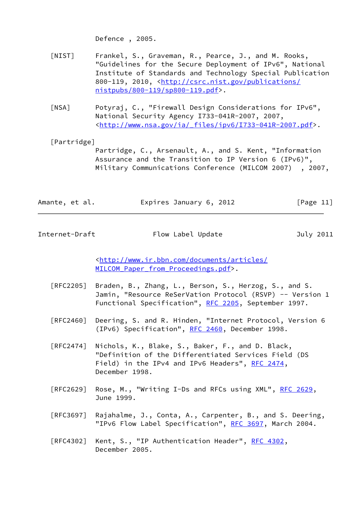Defence , 2005.

- <span id="page-12-1"></span> [NIST] Frankel, S., Graveman, R., Pearce, J., and M. Rooks, "Guidelines for the Secure Deployment of IPv6", National Institute of Standards and Technology Special Publication 800-119, 2010, <[http://csrc.nist.gov/publications/](http://csrc.nist.gov/publications/nistpubs/800-119/sp800-119.pdf) [nistpubs/800-119/sp800-119.pdf](http://csrc.nist.gov/publications/nistpubs/800-119/sp800-119.pdf)>.
- <span id="page-12-2"></span> [NSA] Potyraj, C., "Firewall Design Considerations for IPv6", National Security Agency I733-041R-2007, 2007, <[http://www.nsa.gov/ia/\\_files/ipv6/I733-041R-2007.pdf>](http://www.nsa.gov/ia/_files/ipv6/I733-041R-2007.pdf).

# <span id="page-12-3"></span>[Partridge]

 Partridge, C., Arsenault, A., and S. Kent, "Information Assurance and the Transition to IP Version 6 (IPv6)", Military Communications Conference (MILCOM 2007) , 2007,

| Amante, et al. | Expires January 6, 2012 |  | [Page 11] |
|----------------|-------------------------|--|-----------|
|----------------|-------------------------|--|-----------|

<span id="page-12-0"></span>Internet-Draft Flow Label Update July 2011

 <[http://www.ir.bbn.com/documents/articles/](http://www.ir.bbn.com/documents/articles/MILCOM_Paper_from_Proceedings.pdf) MILCOM Paper from Proceedings.pdf>.

- [RFC2205] Braden, B., Zhang, L., Berson, S., Herzog, S., and S. Jamin, "Resource ReSerVation Protocol (RSVP) -- Version 1 Functional Specification", [RFC 2205](https://datatracker.ietf.org/doc/pdf/rfc2205), September 1997.
- [RFC2460] Deering, S. and R. Hinden, "Internet Protocol, Version 6 (IPv6) Specification", [RFC 2460](https://datatracker.ietf.org/doc/pdf/rfc2460), December 1998.
- [RFC2474] Nichols, K., Blake, S., Baker, F., and D. Black, "Definition of the Differentiated Services Field (DS Field) in the IPv4 and IPv6 Headers", [RFC 2474](https://datatracker.ietf.org/doc/pdf/rfc2474), December 1998.
- [RFC2629] Rose, M., "Writing I-Ds and RFCs using XML", [RFC 2629](https://datatracker.ietf.org/doc/pdf/rfc2629), June 1999.
- [RFC3697] Rajahalme, J., Conta, A., Carpenter, B., and S. Deering, "IPv6 Flow Label Specification", [RFC 3697,](https://datatracker.ietf.org/doc/pdf/rfc3697) March 2004.
- [RFC4302] Kent, S., "IP Authentication Header", [RFC 4302](https://datatracker.ietf.org/doc/pdf/rfc4302), December 2005.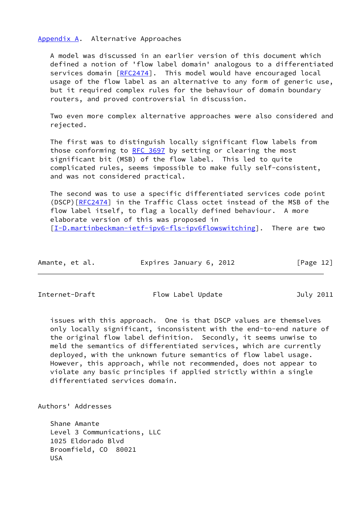<span id="page-13-0"></span>[Appendix A.](#page-13-0) Alternative Approaches

 A model was discussed in an earlier version of this document which defined a notion of 'flow label domain' analogous to a differentiated services domain [\[RFC2474](https://datatracker.ietf.org/doc/pdf/rfc2474)]. This model would have encouraged local usage of the flow label as an alternative to any form of generic use, but it required complex rules for the behaviour of domain boundary routers, and proved controversial in discussion.

 Two even more complex alternative approaches were also considered and rejected.

 The first was to distinguish locally significant flow labels from those conforming to [RFC 3697](https://datatracker.ietf.org/doc/pdf/rfc3697) by setting or clearing the most significant bit (MSB) of the flow label. This led to quite complicated rules, seems impossible to make fully self-consistent, and was not considered practical.

 The second was to use a specific differentiated services code point (DSCP)[[RFC2474](https://datatracker.ietf.org/doc/pdf/rfc2474)] in the Traffic Class octet instead of the MSB of the flow label itself, to flag a locally defined behaviour. A more elaborate version of this was proposed in [\[I-D.martinbeckman-ietf-ipv6-fls-ipv6flowswitching](#page-11-7)]. There are two

| Amante, et al. | Expires January 6, 2012 | [Page 12] |
|----------------|-------------------------|-----------|
|----------------|-------------------------|-----------|

<span id="page-13-1"></span>

Internet-Draft Flow Label Update 70 July 2011

 issues with this approach. One is that DSCP values are themselves only locally significant, inconsistent with the end-to-end nature of the original flow label definition. Secondly, it seems unwise to meld the semantics of differentiated services, which are currently deployed, with the unknown future semantics of flow label usage. However, this approach, while not recommended, does not appear to violate any basic principles if applied strictly within a single differentiated services domain.

Authors' Addresses

 Shane Amante Level 3 Communications, LLC 1025 Eldorado Blvd Broomfield, CO 80021 USA